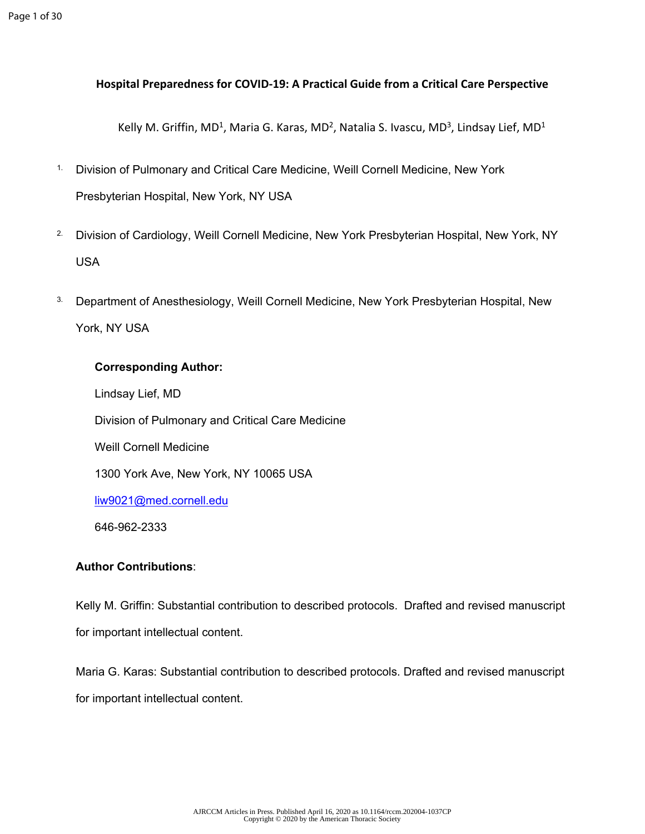# **Hospital Preparedness for COVID-19: A Practical Guide from a Critical Care Perspective**

Kelly M. Griffin, MD<sup>1</sup>, Maria G. Karas, MD<sup>2</sup>, Natalia S. Ivascu, MD<sup>3</sup>, Lindsay Lief, MD<sup>1</sup>

- 1. Division of Pulmonary and Critical Care Medicine, Weill Cornell Medicine, New York Presbyterian Hospital, New York, NY USA
- <sup>2.</sup> Division of Cardiology, Weill Cornell Medicine, New York Presbyterian Hospital, New York, NY USA
- <sup>3.</sup> Department of Anesthesiology, Weill Cornell Medicine, New York Presbyterian Hospital, New York, NY USA

# **Corresponding Author:**

Lindsay Lief, MD Division of Pulmonary and Critical Care Medicine Weill Cornell Medicine 1300 York Ave, New York, NY 10065 USA [liw9021@med.cornell.edu](mailto:liw9021@med.cornell.edu) 646-962-2333

# **Author Contributions**:

Kelly M. Griffin: Substantial contribution to described protocols. Drafted and revised manuscript for important intellectual content.

Maria G. Karas: Substantial contribution to described protocols. Drafted and revised manuscript for important intellectual content.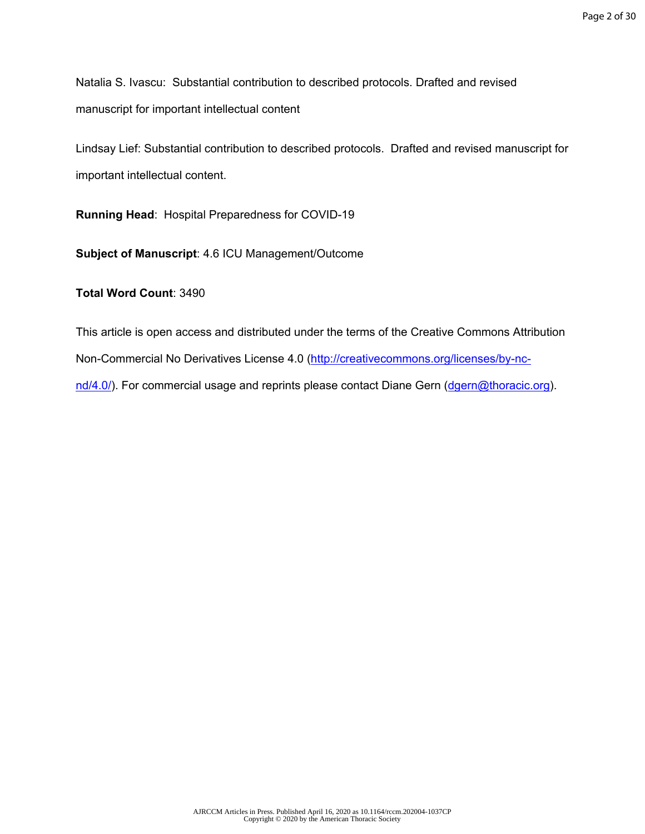Natalia S. Ivascu: Substantial contribution to described protocols. Drafted and revised manuscript for important intellectual content

Lindsay Lief: Substantial contribution to described protocols. Drafted and revised manuscript for important intellectual content.

**Running Head**: Hospital Preparedness for COVID-19

**Subject of Manuscript**: 4.6 ICU Management/Outcome

**Total Word Count**: 3490

This article is open access and distributed under the terms of the Creative Commons Attribution Non-Commercial No Derivatives License 4.0 [\(http://creativecommons.org/licenses/by-nc](http://creativecommons.org/licenses/by-nc-nd/4.0/)[nd/4.0/\)](http://creativecommons.org/licenses/by-nc-nd/4.0/). For commercial usage and reprints please contact Diane Gern [\(dgern@thoracic.org](mailto:dgern@thoracic.org)).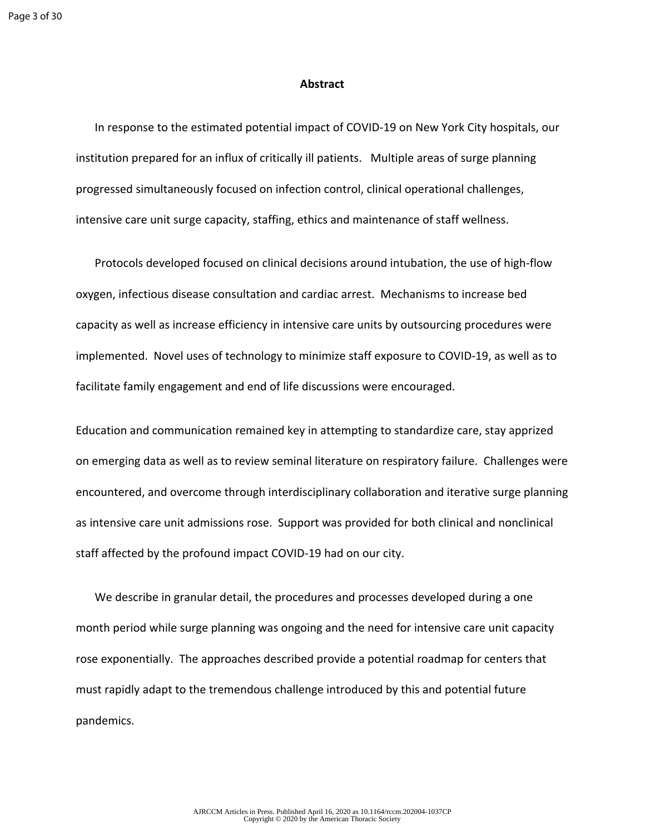#### **Abstract**

In response to the estimated potential impact of COVID-19 on New York City hospitals, our institution prepared for an influx of critically ill patients. Multiple areas of surge planning progressed simultaneously focused on infection control, clinical operational challenges, intensive care unit surge capacity, staffing, ethics and maintenance of staff wellness.

Protocols developed focused on clinical decisions around intubation, the use of high-flow oxygen, infectious disease consultation and cardiac arrest. Mechanisms to increase bed capacity as well as increase efficiency in intensive care units by outsourcing procedures were implemented. Novel uses of technology to minimize staff exposure to COVID-19, as well as to facilitate family engagement and end of life discussions were encouraged.

Education and communication remained key in attempting to standardize care, stay apprized on emerging data as well as to review seminal literature on respiratory failure. Challenges were encountered, and overcome through interdisciplinary collaboration and iterative surge planning as intensive care unit admissions rose. Support was provided for both clinical and nonclinical staff affected by the profound impact COVID-19 had on our city.

We describe in granular detail, the procedures and processes developed during a one month period while surge planning was ongoing and the need for intensive care unit capacity rose exponentially. The approaches described provide a potential roadmap for centers that must rapidly adapt to the tremendous challenge introduced by this and potential future pandemics.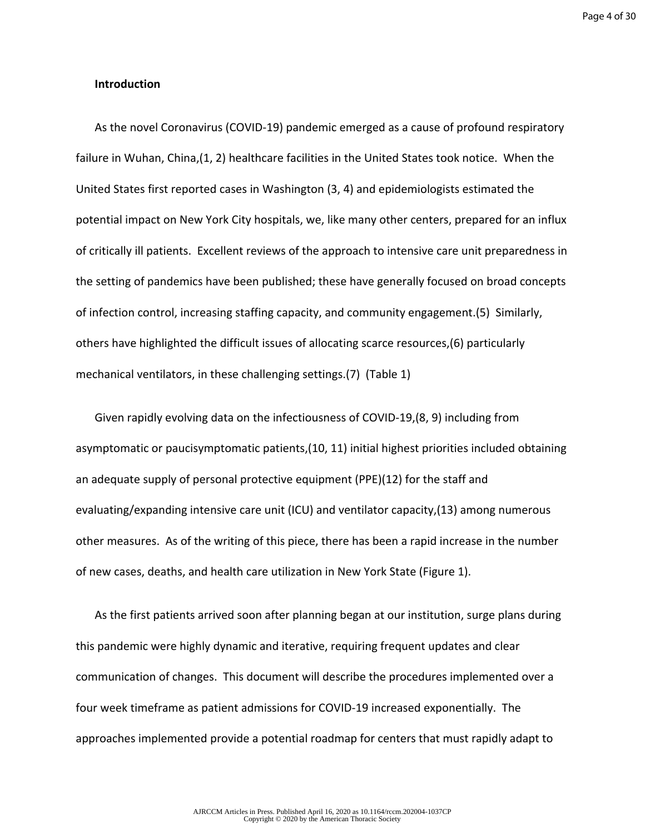#### **Introduction**

As the novel Coronavirus (COVID-19) pandemic emerged as a cause of profound respiratory failure in Wuhan, China,(1, 2) healthcare facilities in the United States took notice. When the United States first reported cases in Washington (3, 4) and epidemiologists estimated the potential impact on New York City hospitals, we, like many other centers, prepared for an influx of critically ill patients. Excellent reviews of the approach to intensive care unit preparedness in the setting of pandemics have been published; these have generally focused on broad concepts of infection control, increasing staffing capacity, and community engagement.(5) Similarly, others have highlighted the difficult issues of allocating scarce resources,(6) particularly mechanical ventilators, in these challenging settings.(7) (Table 1)

Given rapidly evolving data on the infectiousness of COVID-19,(8, 9) including from asymptomatic or paucisymptomatic patients,(10, 11) initial highest priorities included obtaining an adequate supply of personal protective equipment (PPE)(12) for the staff and evaluating/expanding intensive care unit (ICU) and ventilator capacity,(13) among numerous other measures. As of the writing of this piece, there has been a rapid increase in the number of new cases, deaths, and health care utilization in New York State (Figure 1).

As the first patients arrived soon after planning began at our institution, surge plans during this pandemic were highly dynamic and iterative, requiring frequent updates and clear communication of changes. This document will describe the procedures implemented over a four week timeframe as patient admissions for COVID-19 increased exponentially. The approaches implemented provide a potential roadmap for centers that must rapidly adapt to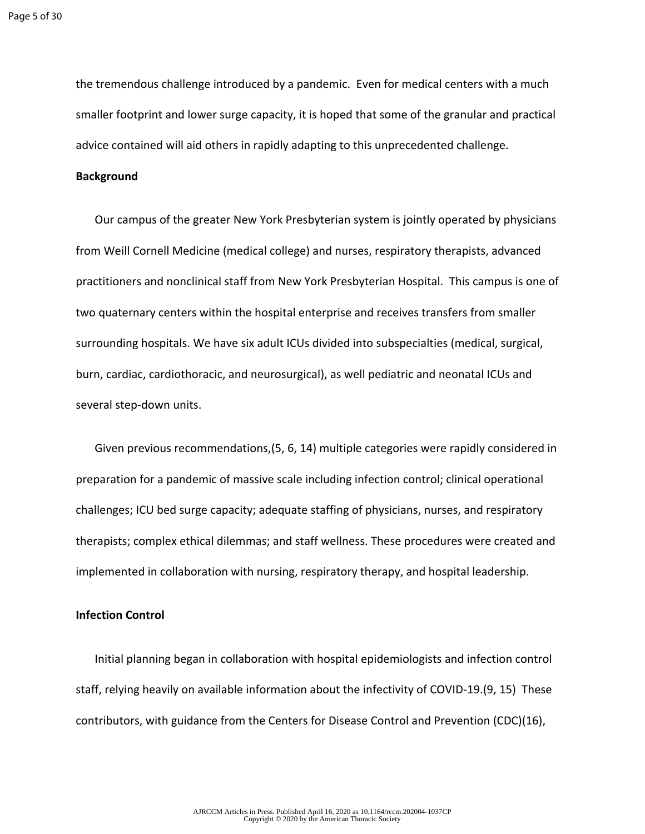the tremendous challenge introduced by a pandemic. Even for medical centers with a much smaller footprint and lower surge capacity, it is hoped that some of the granular and practical advice contained will aid others in rapidly adapting to this unprecedented challenge.

#### **Background**

Our campus of the greater New York Presbyterian system is jointly operated by physicians from Weill Cornell Medicine (medical college) and nurses, respiratory therapists, advanced practitioners and nonclinical staff from New York Presbyterian Hospital. This campus is one of two quaternary centers within the hospital enterprise and receives transfers from smaller surrounding hospitals. We have six adult ICUs divided into subspecialties (medical, surgical, burn, cardiac, cardiothoracic, and neurosurgical), as well pediatric and neonatal ICUs and several step-down units.

Given previous recommendations,(5, 6, 14) multiple categories were rapidly considered in preparation for a pandemic of massive scale including infection control; clinical operational challenges; ICU bed surge capacity; adequate staffing of physicians, nurses, and respiratory therapists; complex ethical dilemmas; and staff wellness. These procedures were created and implemented in collaboration with nursing, respiratory therapy, and hospital leadership.

#### **Infection Control**

Initial planning began in collaboration with hospital epidemiologists and infection control staff, relying heavily on available information about the infectivity of COVID-19.(9, 15) These contributors, with guidance from the Centers for Disease Control and Prevention (CDC)(16),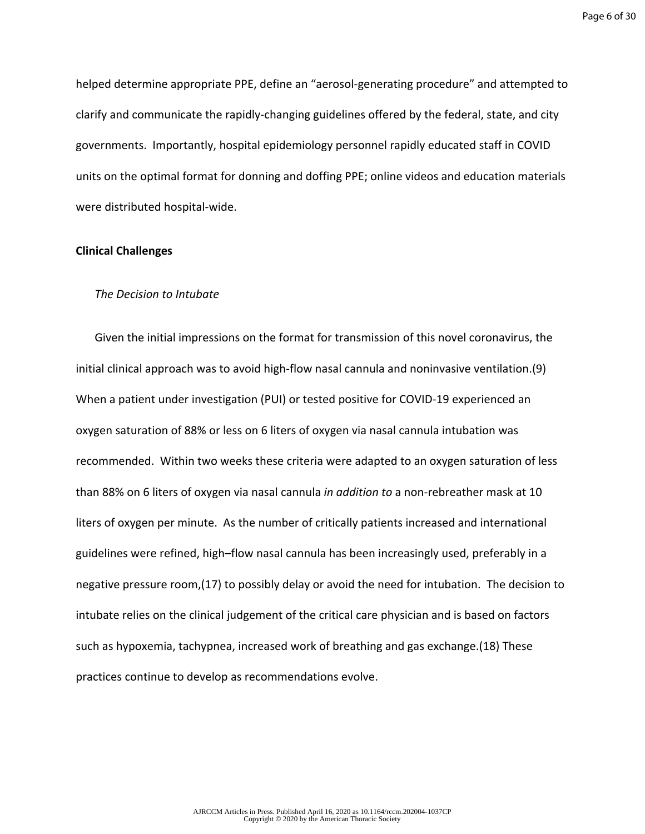helped determine appropriate PPE, define an "aerosol-generating procedure" and attempted to clarify and communicate the rapidly-changing guidelines offered by the federal, state, and city governments. Importantly, hospital epidemiology personnel rapidly educated staff in COVID units on the optimal format for donning and doffing PPE; online videos and education materials were distributed hospital-wide.

#### **Clinical Challenges**

#### *The Decision to Intubate*

Given the initial impressions on the format for transmission of this novel coronavirus, the initial clinical approach was to avoid high-flow nasal cannula and noninvasive ventilation.(9) When a patient under investigation (PUI) or tested positive for COVID-19 experienced an oxygen saturation of 88% or less on 6 liters of oxygen via nasal cannula intubation was recommended. Within two weeks these criteria were adapted to an oxygen saturation of less than 88% on 6 liters of oxygen via nasal cannula *in addition to* a non-rebreather mask at 10 liters of oxygen per minute. As the number of critically patients increased and international guidelines were refined, high–flow nasal cannula has been increasingly used, preferably in a negative pressure room,(17) to possibly delay or avoid the need for intubation. The decision to intubate relies on the clinical judgement of the critical care physician and is based on factors such as hypoxemia, tachypnea, increased work of breathing and gas exchange.(18) These practices continue to develop as recommendations evolve.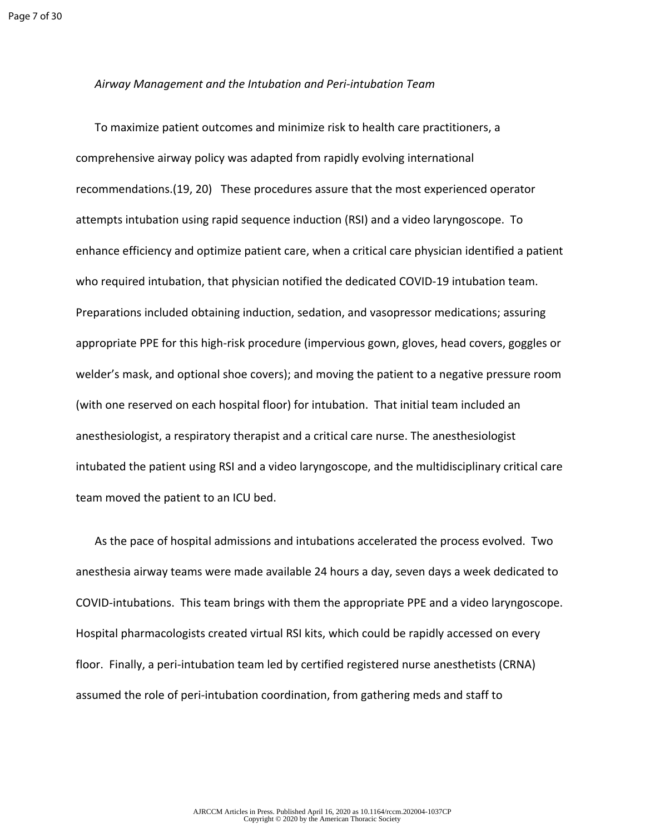#### *Airway Management and the Intubation and Peri-intubation Team*

To maximize patient outcomes and minimize risk to health care practitioners, a comprehensive airway policy was adapted from rapidly evolving international recommendations.(19, 20) These procedures assure that the most experienced operator attempts intubation using rapid sequence induction (RSI) and a video laryngoscope. To enhance efficiency and optimize patient care, when a critical care physician identified a patient who required intubation, that physician notified the dedicated COVID-19 intubation team. Preparations included obtaining induction, sedation, and vasopressor medications; assuring appropriate PPE for this high-risk procedure (impervious gown, gloves, head covers, goggles or welder's mask, and optional shoe covers); and moving the patient to a negative pressure room (with one reserved on each hospital floor) for intubation. That initial team included an anesthesiologist, a respiratory therapist and a critical care nurse. The anesthesiologist intubated the patient using RSI and a video laryngoscope, and the multidisciplinary critical care team moved the patient to an ICU bed.

As the pace of hospital admissions and intubations accelerated the process evolved. Two anesthesia airway teams were made available 24 hours a day, seven days a week dedicated to COVID-intubations. This team brings with them the appropriate PPE and a video laryngoscope. Hospital pharmacologists created virtual RSI kits, which could be rapidly accessed on every floor. Finally, a peri-intubation team led by certified registered nurse anesthetists (CRNA) assumed the role of peri-intubation coordination, from gathering meds and staff to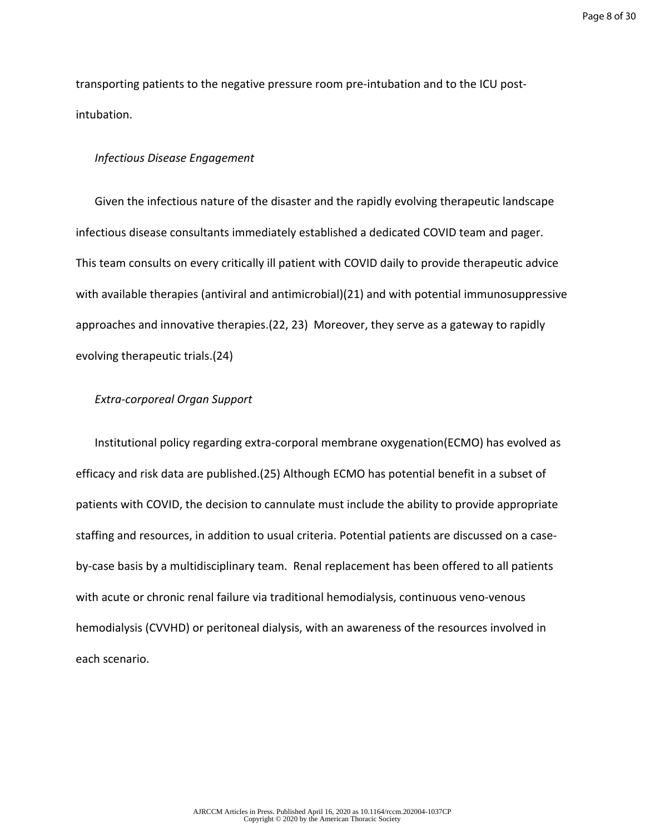Page 8 of 30

transporting patients to the negative pressure room pre-intubation and to the ICU postintubation.

#### *Infectious Disease Engagement*

Given the infectious nature of the disaster and the rapidly evolving therapeutic landscape infectious disease consultants immediately established a dedicated COVID team and pager. This team consults on every critically ill patient with COVID daily to provide therapeutic advice with available therapies (antiviral and antimicrobial)(21) and with potential immunosuppressive approaches and innovative therapies.(22, 23) Moreover, they serve as a gateway to rapidly evolving therapeutic trials.(24)

## *Extra-corporeal Organ Support*

Institutional policy regarding extra-corporal membrane oxygenation(ECMO) has evolved as efficacy and risk data are published.(25) Although ECMO has potential benefit in a subset of patients with COVID, the decision to cannulate must include the ability to provide appropriate staffing and resources, in addition to usual criteria. Potential patients are discussed on a caseby-case basis by a multidisciplinary team. Renal replacement has been offered to all patients with acute or chronic renal failure via traditional hemodialysis, continuous veno-venous hemodialysis (CVVHD) or peritoneal dialysis, with an awareness of the resources involved in each scenario.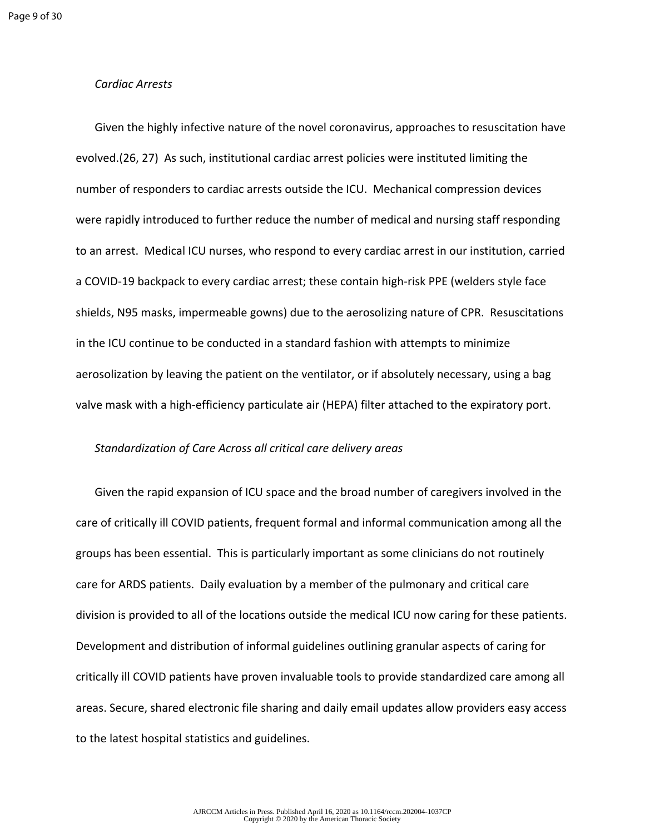#### *Cardiac Arrests*

Given the highly infective nature of the novel coronavirus, approaches to resuscitation have evolved.(26, 27) As such, institutional cardiac arrest policies were instituted limiting the number of responders to cardiac arrests outside the ICU. Mechanical compression devices were rapidly introduced to further reduce the number of medical and nursing staff responding to an arrest. Medical ICU nurses, who respond to every cardiac arrest in our institution, carried a COVID-19 backpack to every cardiac arrest; these contain high-risk PPE (welders style face shields, N95 masks, impermeable gowns) due to the aerosolizing nature of CPR. Resuscitations in the ICU continue to be conducted in a standard fashion with attempts to minimize aerosolization by leaving the patient on the ventilator, or if absolutely necessary, using a bag valve mask with a high-efficiency particulate air (HEPA) filter attached to the expiratory port.

#### *Standardization of Care Across all critical care delivery areas*

Given the rapid expansion of ICU space and the broad number of caregivers involved in the care of critically ill COVID patients, frequent formal and informal communication among all the groups has been essential. This is particularly important as some clinicians do not routinely care for ARDS patients. Daily evaluation by a member of the pulmonary and critical care division is provided to all of the locations outside the medical ICU now caring for these patients. Development and distribution of informal guidelines outlining granular aspects of caring for critically ill COVID patients have proven invaluable tools to provide standardized care among all areas. Secure, shared electronic file sharing and daily email updates allow providers easy access to the latest hospital statistics and guidelines.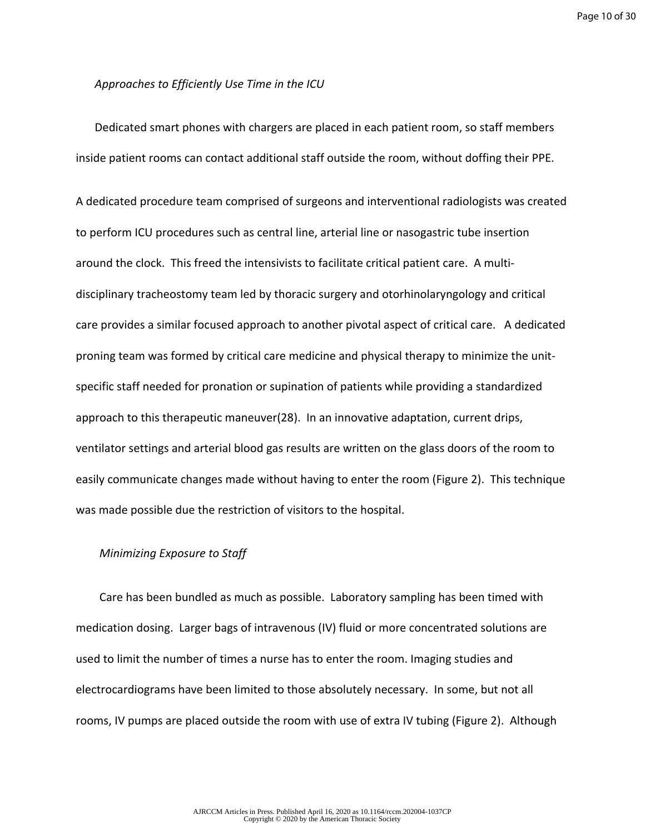Page 10 of 30

#### *Approaches to Efficiently Use Time in the ICU*

Dedicated smart phones with chargers are placed in each patient room, so staff members inside patient rooms can contact additional staff outside the room, without doffing their PPE.

A dedicated procedure team comprised of surgeons and interventional radiologists was created to perform ICU procedures such as central line, arterial line or nasogastric tube insertion around the clock. This freed the intensivists to facilitate critical patient care. A multidisciplinary tracheostomy team led by thoracic surgery and otorhinolaryngology and critical care provides a similar focused approach to another pivotal aspect of critical care. A dedicated proning team was formed by critical care medicine and physical therapy to minimize the unitspecific staff needed for pronation or supination of patients while providing a standardized approach to this therapeutic maneuver(28). In an innovative adaptation, current drips, ventilator settings and arterial blood gas results are written on the glass doors of the room to easily communicate changes made without having to enter the room (Figure 2). This technique was made possible due the restriction of visitors to the hospital.

#### *Minimizing Exposure to Staff*

Care has been bundled as much as possible. Laboratory sampling has been timed with medication dosing. Larger bags of intravenous (IV) fluid or more concentrated solutions are used to limit the number of times a nurse has to enter the room. Imaging studies and electrocardiograms have been limited to those absolutely necessary. In some, but not all rooms, IV pumps are placed outside the room with use of extra IV tubing (Figure 2). Although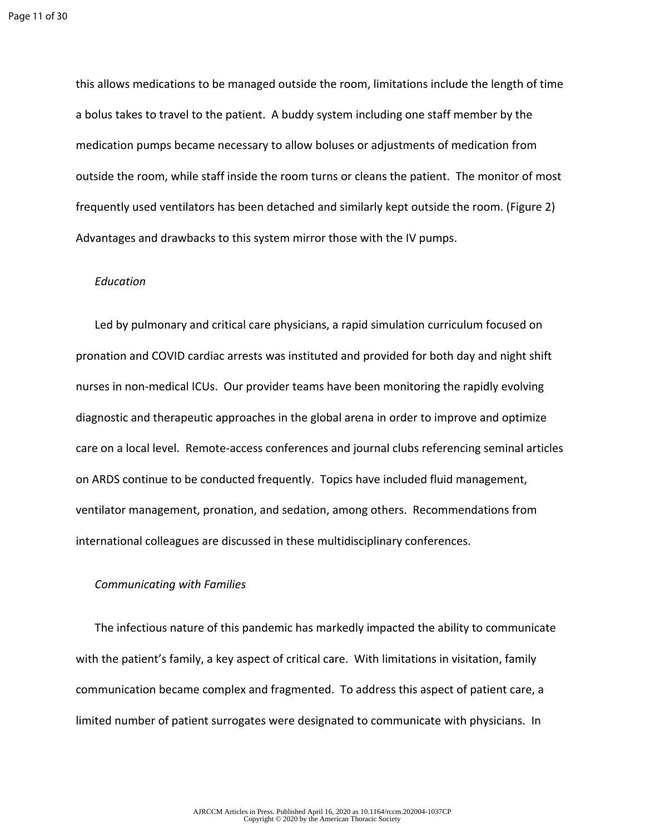this allows medications to be managed outside the room, limitations include the length of time a bolus takes to travel to the patient. A buddy system including one staff member by the medication pumps became necessary to allow boluses or adjustments of medication from outside the room, while staff inside the room turns or cleans the patient. The monitor of most frequently used ventilators has been detached and similarly kept outside the room. (Figure 2) Advantages and drawbacks to this system mirror those with the IV pumps.

#### *Education*

Led by pulmonary and critical care physicians, a rapid simulation curriculum focused on pronation and COVID cardiac arrests was instituted and provided for both day and night shift nurses in non-medical ICUs. Our provider teams have been monitoring the rapidly evolving diagnostic and therapeutic approaches in the global arena in order to improve and optimize care on a local level. Remote-access conferences and journal clubs referencing seminal articles on ARDS continue to be conducted frequently. Topics have included fluid management, ventilator management, pronation, and sedation, among others. Recommendations from international colleagues are discussed in these multidisciplinary conferences.

### *Communicating with Families*

The infectious nature of this pandemic has markedly impacted the ability to communicate with the patient's family, a key aspect of critical care. With limitations in visitation, family communication became complex and fragmented. To address this aspect of patient care, a limited number of patient surrogates were designated to communicate with physicians. In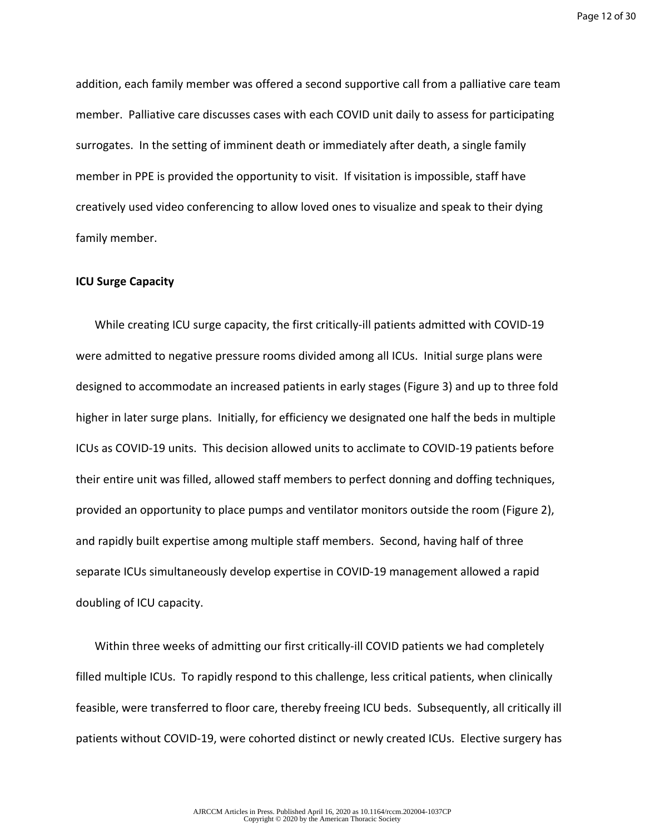Page 12 of 30

addition, each family member was offered a second supportive call from a palliative care team member. Palliative care discusses cases with each COVID unit daily to assess for participating surrogates. In the setting of imminent death or immediately after death, a single family member in PPE is provided the opportunity to visit. If visitation is impossible, staff have creatively used video conferencing to allow loved ones to visualize and speak to their dying family member.

# **ICU Surge Capacity**

While creating ICU surge capacity, the first critically-ill patients admitted with COVID-19 were admitted to negative pressure rooms divided among all ICUs. Initial surge plans were designed to accommodate an increased patients in early stages (Figure 3) and up to three fold higher in later surge plans. Initially, for efficiency we designated one half the beds in multiple ICUs as COVID-19 units. This decision allowed units to acclimate to COVID-19 patients before their entire unit was filled, allowed staff members to perfect donning and doffing techniques, provided an opportunity to place pumps and ventilator monitors outside the room (Figure 2), and rapidly built expertise among multiple staff members. Second, having half of three separate ICUs simultaneously develop expertise in COVID-19 management allowed a rapid doubling of ICU capacity.

Within three weeks of admitting our first critically-ill COVID patients we had completely filled multiple ICUs. To rapidly respond to this challenge, less critical patients, when clinically feasible, were transferred to floor care, thereby freeing ICU beds. Subsequently, all critically ill patients without COVID-19, were cohorted distinct or newly created ICUs. Elective surgery has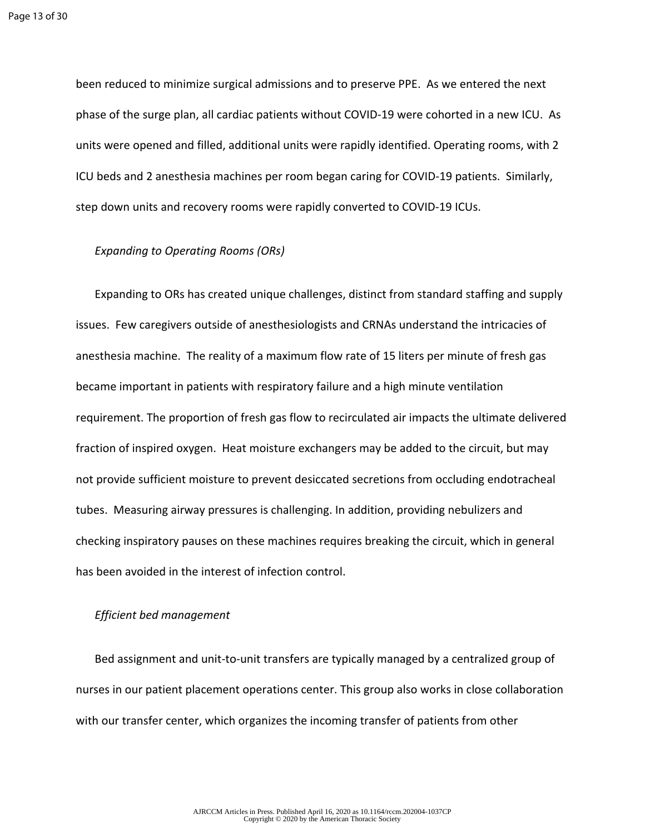been reduced to minimize surgical admissions and to preserve PPE. As we entered the next phase of the surge plan, all cardiac patients without COVID-19 were cohorted in a new ICU. As units were opened and filled, additional units were rapidly identified. Operating rooms, with 2 ICU beds and 2 anesthesia machines per room began caring for COVID-19 patients. Similarly, step down units and recovery rooms were rapidly converted to COVID-19 ICUs.

#### *Expanding to Operating Rooms (ORs)*

Expanding to ORs has created unique challenges, distinct from standard staffing and supply issues. Few caregivers outside of anesthesiologists and CRNAs understand the intricacies of anesthesia machine. The reality of a maximum flow rate of 15 liters per minute of fresh gas became important in patients with respiratory failure and a high minute ventilation requirement. The proportion of fresh gas flow to recirculated air impacts the ultimate delivered fraction of inspired oxygen. Heat moisture exchangers may be added to the circuit, but may not provide sufficient moisture to prevent desiccated secretions from occluding endotracheal tubes. Measuring airway pressures is challenging. In addition, providing nebulizers and checking inspiratory pauses on these machines requires breaking the circuit, which in general has been avoided in the interest of infection control.

#### *Efficient bed management*

Bed assignment and unit-to-unit transfers are typically managed by a centralized group of nurses in our patient placement operations center. This group also works in close collaboration with our transfer center, which organizes the incoming transfer of patients from other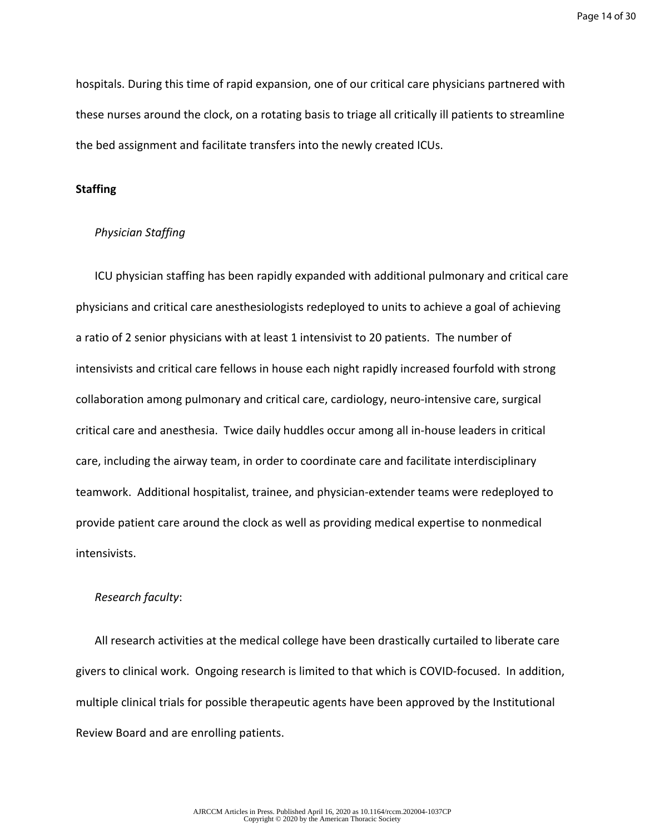hospitals. During this time of rapid expansion, one of our critical care physicians partnered with these nurses around the clock, on a rotating basis to triage all critically ill patients to streamline the bed assignment and facilitate transfers into the newly created ICUs.

#### **Staffing**

## *Physician Staffing*

ICU physician staffing has been rapidly expanded with additional pulmonary and critical care physicians and critical care anesthesiologists redeployed to units to achieve a goal of achieving a ratio of 2 senior physicians with at least 1 intensivist to 20 patients. The number of intensivists and critical care fellows in house each night rapidly increased fourfold with strong collaboration among pulmonary and critical care, cardiology, neuro-intensive care, surgical critical care and anesthesia. Twice daily huddles occur among all in-house leaders in critical care, including the airway team, in order to coordinate care and facilitate interdisciplinary teamwork. Additional hospitalist, trainee, and physician-extender teams were redeployed to provide patient care around the clock as well as providing medical expertise to nonmedical intensivists.

#### *Research faculty*:

All research activities at the medical college have been drastically curtailed to liberate care givers to clinical work. Ongoing research is limited to that which is COVID-focused. In addition, multiple clinical trials for possible therapeutic agents have been approved by the Institutional Review Board and are enrolling patients.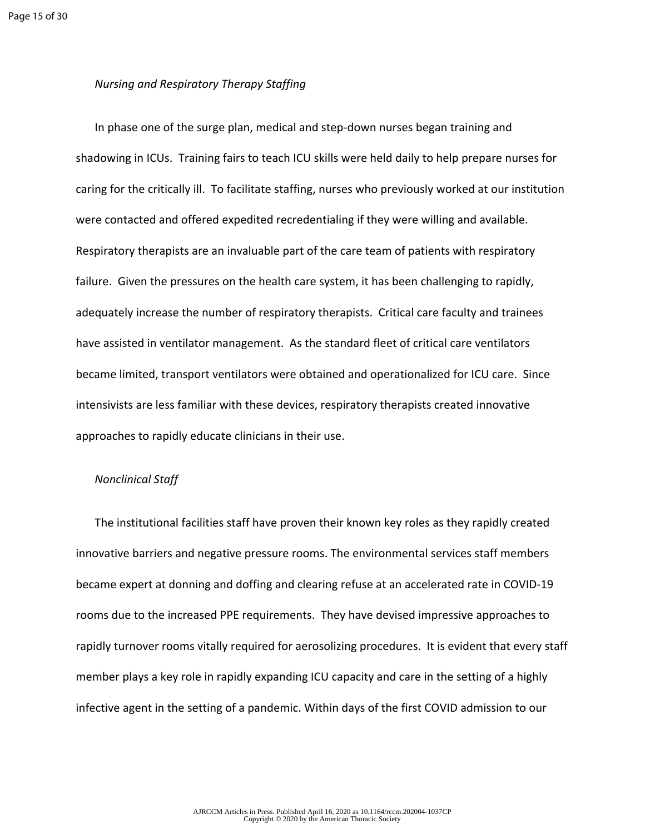## *Nursing and Respiratory Therapy Staffing*

In phase one of the surge plan, medical and step-down nurses began training and shadowing in ICUs. Training fairs to teach ICU skills were held daily to help prepare nurses for caring for the critically ill. To facilitate staffing, nurses who previously worked at our institution were contacted and offered expedited recredentialing if they were willing and available. Respiratory therapists are an invaluable part of the care team of patients with respiratory failure. Given the pressures on the health care system, it has been challenging to rapidly, adequately increase the number of respiratory therapists. Critical care faculty and trainees have assisted in ventilator management. As the standard fleet of critical care ventilators became limited, transport ventilators were obtained and operationalized for ICU care. Since intensivists are less familiar with these devices, respiratory therapists created innovative approaches to rapidly educate clinicians in their use.

#### *Nonclinical Staff*

The institutional facilities staff have proven their known key roles as they rapidly created innovative barriers and negative pressure rooms. The environmental services staff members became expert at donning and doffing and clearing refuse at an accelerated rate in COVID-19 rooms due to the increased PPE requirements. They have devised impressive approaches to rapidly turnover rooms vitally required for aerosolizing procedures. It is evident that every staff member plays a key role in rapidly expanding ICU capacity and care in the setting of a highly infective agent in the setting of a pandemic. Within days of the first COVID admission to our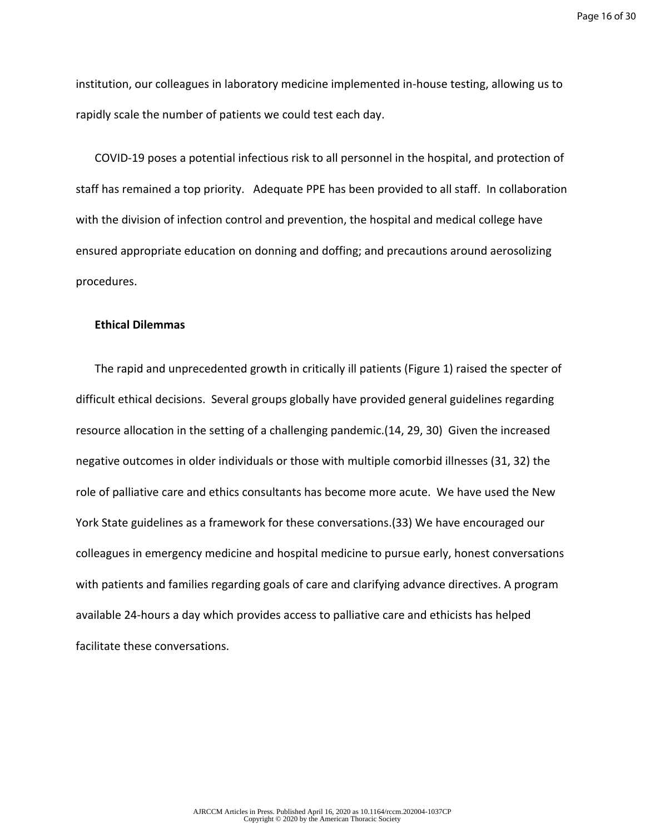institution, our colleagues in laboratory medicine implemented in-house testing, allowing us to rapidly scale the number of patients we could test each day.

COVID-19 poses a potential infectious risk to all personnel in the hospital, and protection of staff has remained a top priority. Adequate PPE has been provided to all staff. In collaboration with the division of infection control and prevention, the hospital and medical college have ensured appropriate education on donning and doffing; and precautions around aerosolizing procedures.

#### **Ethical Dilemmas**

The rapid and unprecedented growth in critically ill patients (Figure 1) raised the specter of difficult ethical decisions. Several groups globally have provided general guidelines regarding resource allocation in the setting of a challenging pandemic.(14, 29, 30) Given the increased negative outcomes in older individuals or those with multiple comorbid illnesses (31, 32) the role of palliative care and ethics consultants has become more acute. We have used the New York State guidelines as a framework for these conversations.(33) We have encouraged our colleagues in emergency medicine and hospital medicine to pursue early, honest conversations with patients and families regarding goals of care and clarifying advance directives. A program available 24-hours a day which provides access to palliative care and ethicists has helped facilitate these conversations.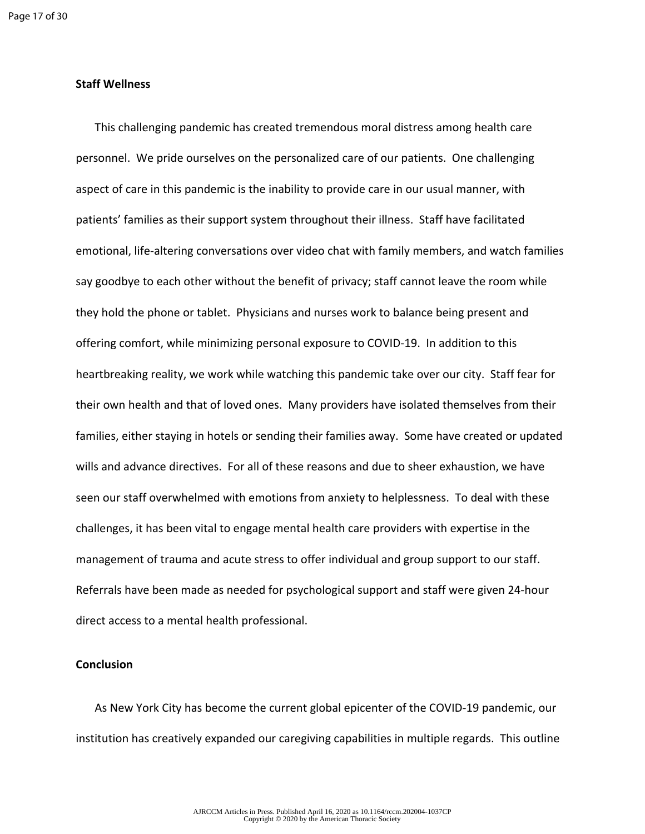## **Staff Wellness**

This challenging pandemic has created tremendous moral distress among health care personnel. We pride ourselves on the personalized care of our patients. One challenging aspect of care in this pandemic is the inability to provide care in our usual manner, with patients' families as their support system throughout their illness. Staff have facilitated emotional, life-altering conversations over video chat with family members, and watch families say goodbye to each other without the benefit of privacy; staff cannot leave the room while they hold the phone or tablet. Physicians and nurses work to balance being present and offering comfort, while minimizing personal exposure to COVID-19. In addition to this heartbreaking reality, we work while watching this pandemic take over our city. Staff fear for their own health and that of loved ones. Many providers have isolated themselves from their families, either staying in hotels or sending their families away. Some have created or updated wills and advance directives. For all of these reasons and due to sheer exhaustion, we have seen our staff overwhelmed with emotions from anxiety to helplessness. To deal with these challenges, it has been vital to engage mental health care providers with expertise in the management of trauma and acute stress to offer individual and group support to our staff. Referrals have been made as needed for psychological support and staff were given 24-hour direct access to a mental health professional.

#### **Conclusion**

As New York City has become the current global epicenter of the COVID-19 pandemic, our institution has creatively expanded our caregiving capabilities in multiple regards. This outline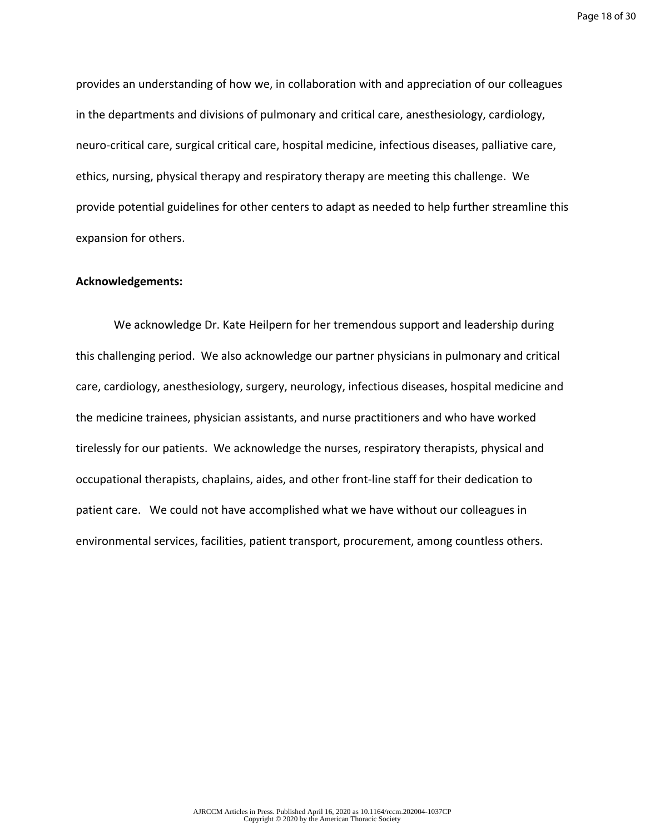Page 18 of 30

provides an understanding of how we, in collaboration with and appreciation of our colleagues in the departments and divisions of pulmonary and critical care, anesthesiology, cardiology, neuro-critical care, surgical critical care, hospital medicine, infectious diseases, palliative care, ethics, nursing, physical therapy and respiratory therapy are meeting this challenge. We provide potential guidelines for other centers to adapt as needed to help further streamline this expansion for others.

## **Acknowledgements:**

We acknowledge Dr. Kate Heilpern for her tremendous support and leadership during this challenging period. We also acknowledge our partner physicians in pulmonary and critical care, cardiology, anesthesiology, surgery, neurology, infectious diseases, hospital medicine and the medicine trainees, physician assistants, and nurse practitioners and who have worked tirelessly for our patients. We acknowledge the nurses, respiratory therapists, physical and occupational therapists, chaplains, aides, and other front-line staff for their dedication to patient care. We could not have accomplished what we have without our colleagues in environmental services, facilities, patient transport, procurement, among countless others.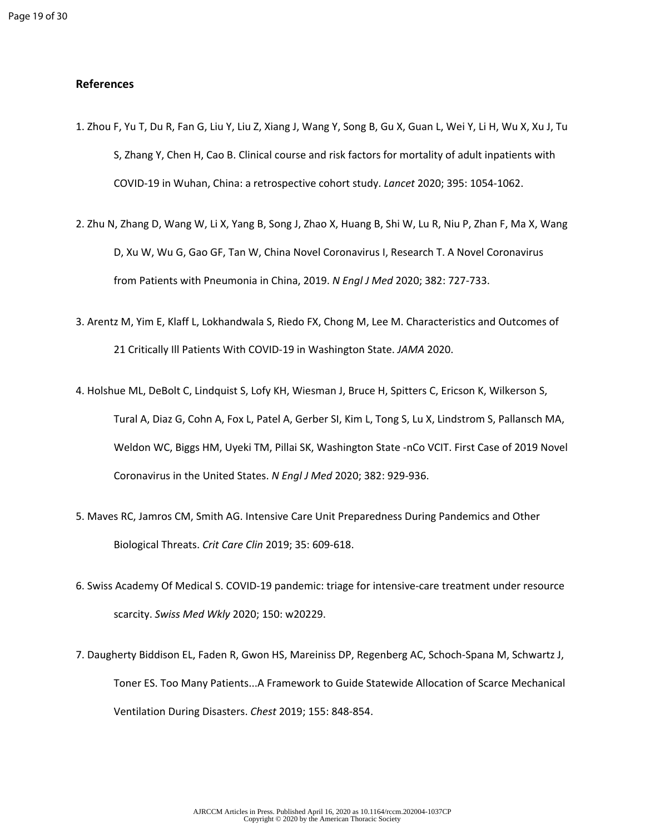## **References**

- 1. Zhou F, Yu T, Du R, Fan G, Liu Y, Liu Z, Xiang J, Wang Y, Song B, Gu X, Guan L, Wei Y, Li H, Wu X, Xu J, Tu S, Zhang Y, Chen H, Cao B. Clinical course and risk factors for mortality of adult inpatients with COVID-19 in Wuhan, China: a retrospective cohort study. *Lancet* 2020; 395: 1054-1062.
- 2. Zhu N, Zhang D, Wang W, Li X, Yang B, Song J, Zhao X, Huang B, Shi W, Lu R, Niu P, Zhan F, Ma X, Wang D, Xu W, Wu G, Gao GF, Tan W, China Novel Coronavirus I, Research T. A Novel Coronavirus from Patients with Pneumonia in China, 2019. *N Engl J Med* 2020; 382: 727-733.
- 3. Arentz M, Yim E, Klaff L, Lokhandwala S, Riedo FX, Chong M, Lee M. Characteristics and Outcomes of 21 Critically Ill Patients With COVID-19 in Washington State. *JAMA* 2020.
- 4. Holshue ML, DeBolt C, Lindquist S, Lofy KH, Wiesman J, Bruce H, Spitters C, Ericson K, Wilkerson S, Tural A, Diaz G, Cohn A, Fox L, Patel A, Gerber SI, Kim L, Tong S, Lu X, Lindstrom S, Pallansch MA, Weldon WC, Biggs HM, Uyeki TM, Pillai SK, Washington State -nCo VCIT. First Case of 2019 Novel Coronavirus in the United States. *N Engl J Med* 2020; 382: 929-936.
- 5. Maves RC, Jamros CM, Smith AG. Intensive Care Unit Preparedness During Pandemics and Other Biological Threats. *Crit Care Clin* 2019; 35: 609-618.
- 6. Swiss Academy Of Medical S. COVID-19 pandemic: triage for intensive-care treatment under resource scarcity. *Swiss Med Wkly* 2020; 150: w20229.
- 7. Daugherty Biddison EL, Faden R, Gwon HS, Mareiniss DP, Regenberg AC, Schoch-Spana M, Schwartz J, Toner ES. Too Many Patients...A Framework to Guide Statewide Allocation of Scarce Mechanical Ventilation During Disasters. *Chest* 2019; 155: 848-854.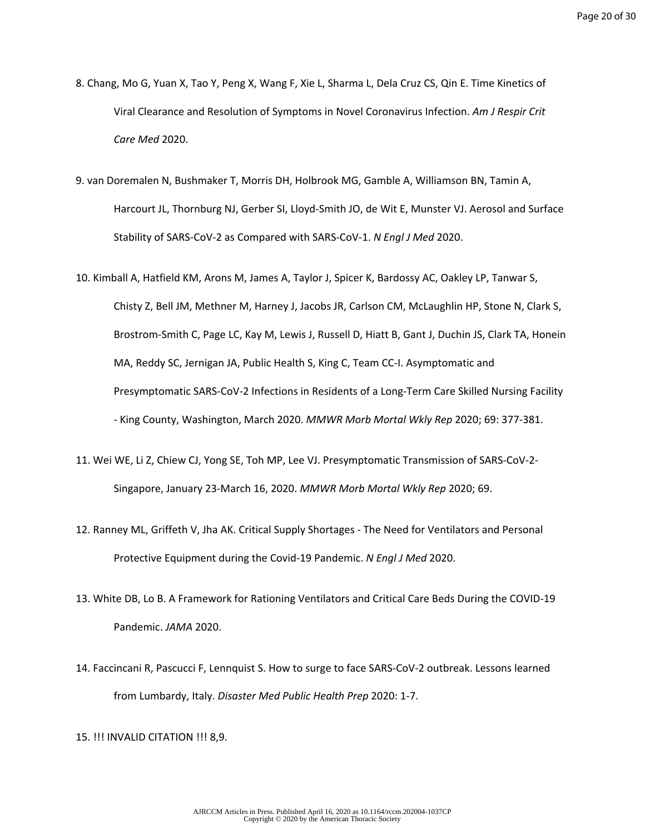- 8. Chang, Mo G, Yuan X, Tao Y, Peng X, Wang F, Xie L, Sharma L, Dela Cruz CS, Qin E. Time Kinetics of Viral Clearance and Resolution of Symptoms in Novel Coronavirus Infection. *Am J Respir Crit Care Med* 2020.
- 9. van Doremalen N, Bushmaker T, Morris DH, Holbrook MG, Gamble A, Williamson BN, Tamin A, Harcourt JL, Thornburg NJ, Gerber SI, Lloyd-Smith JO, de Wit E, Munster VJ. Aerosol and Surface Stability of SARS-CoV-2 as Compared with SARS-CoV-1. *N Engl J Med* 2020.
- 10. Kimball A, Hatfield KM, Arons M, James A, Taylor J, Spicer K, Bardossy AC, Oakley LP, Tanwar S, Chisty Z, Bell JM, Methner M, Harney J, Jacobs JR, Carlson CM, McLaughlin HP, Stone N, Clark S, Brostrom-Smith C, Page LC, Kay M, Lewis J, Russell D, Hiatt B, Gant J, Duchin JS, Clark TA, Honein MA, Reddy SC, Jernigan JA, Public Health S, King C, Team CC-I. Asymptomatic and Presymptomatic SARS-CoV-2 Infections in Residents of a Long-Term Care Skilled Nursing Facility - King County, Washington, March 2020. *MMWR Morb Mortal Wkly Rep* 2020; 69: 377-381.
- 11. Wei WE, Li Z, Chiew CJ, Yong SE, Toh MP, Lee VJ. Presymptomatic Transmission of SARS-CoV-2- Singapore, January 23-March 16, 2020. *MMWR Morb Mortal Wkly Rep* 2020; 69.
- 12. Ranney ML, Griffeth V, Jha AK. Critical Supply Shortages The Need for Ventilators and Personal Protective Equipment during the Covid-19 Pandemic. *N Engl J Med* 2020.
- 13. White DB, Lo B. A Framework for Rationing Ventilators and Critical Care Beds During the COVID-19 Pandemic. *JAMA* 2020.
- 14. Faccincani R, Pascucci F, Lennquist S. How to surge to face SARS-CoV-2 outbreak. Lessons learned from Lumbardy, Italy. *Disaster Med Public Health Prep* 2020: 1-7.

15. !!! INVALID CITATION !!! 8,9.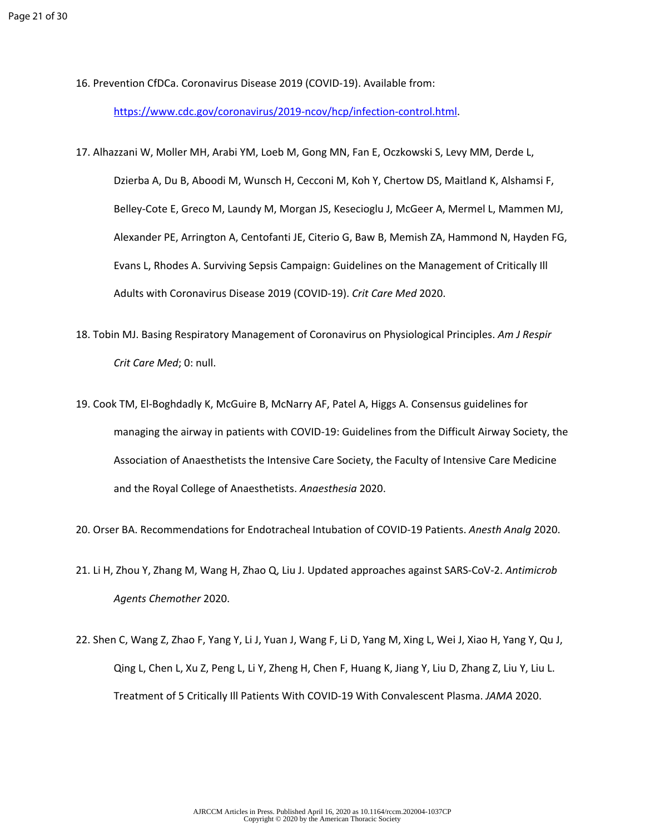16. Prevention CfDCa. Coronavirus Disease 2019 (COVID-19). Available from:

<https://www.cdc.gov/coronavirus/2019-ncov/hcp/infection-control.html>.

- 17. Alhazzani W, Moller MH, Arabi YM, Loeb M, Gong MN, Fan E, Oczkowski S, Levy MM, Derde L, Dzierba A, Du B, Aboodi M, Wunsch H, Cecconi M, Koh Y, Chertow DS, Maitland K, Alshamsi F, Belley-Cote E, Greco M, Laundy M, Morgan JS, Kesecioglu J, McGeer A, Mermel L, Mammen MJ, Alexander PE, Arrington A, Centofanti JE, Citerio G, Baw B, Memish ZA, Hammond N, Hayden FG, Evans L, Rhodes A. Surviving Sepsis Campaign: Guidelines on the Management of Critically Ill Adults with Coronavirus Disease 2019 (COVID-19). *Crit Care Med* 2020.
- 18. Tobin MJ. Basing Respiratory Management of Coronavirus on Physiological Principles. *Am J Respir Crit Care Med*; 0: null.
- 19. Cook TM, El-Boghdadly K, McGuire B, McNarry AF, Patel A, Higgs A. Consensus guidelines for managing the airway in patients with COVID-19: Guidelines from the Difficult Airway Society, the Association of Anaesthetists the Intensive Care Society, the Faculty of Intensive Care Medicine and the Royal College of Anaesthetists. *Anaesthesia* 2020.
- 20. Orser BA. Recommendations for Endotracheal Intubation of COVID-19 Patients. *Anesth Analg* 2020.
- 21. Li H, Zhou Y, Zhang M, Wang H, Zhao Q, Liu J. Updated approaches against SARS-CoV-2. *Antimicrob Agents Chemother* 2020.
- 22. Shen C, Wang Z, Zhao F, Yang Y, Li J, Yuan J, Wang F, Li D, Yang M, Xing L, Wei J, Xiao H, Yang Y, Qu J, Qing L, Chen L, Xu Z, Peng L, Li Y, Zheng H, Chen F, Huang K, Jiang Y, Liu D, Zhang Z, Liu Y, Liu L. Treatment of 5 Critically Ill Patients With COVID-19 With Convalescent Plasma. *JAMA* 2020.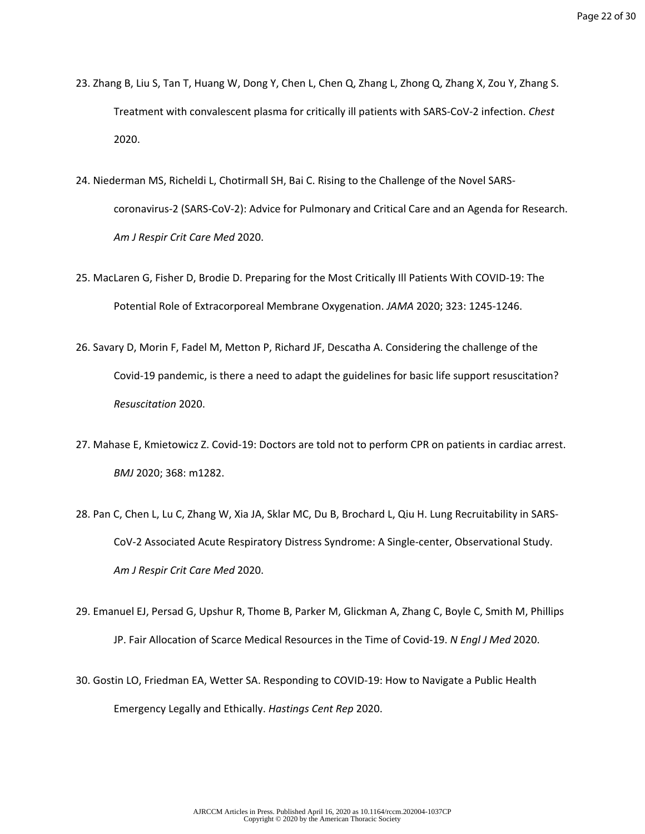- 23. Zhang B, Liu S, Tan T, Huang W, Dong Y, Chen L, Chen Q, Zhang L, Zhong Q, Zhang X, Zou Y, Zhang S. Treatment with convalescent plasma for critically ill patients with SARS-CoV-2 infection. *Chest*  2020.
- 24. Niederman MS, Richeldi L, Chotirmall SH, Bai C. Rising to the Challenge of the Novel SARScoronavirus-2 (SARS-CoV-2): Advice for Pulmonary and Critical Care and an Agenda for Research. *Am J Respir Crit Care Med* 2020.
- 25. MacLaren G, Fisher D, Brodie D. Preparing for the Most Critically Ill Patients With COVID-19: The Potential Role of Extracorporeal Membrane Oxygenation. *JAMA* 2020; 323: 1245-1246.
- 26. Savary D, Morin F, Fadel M, Metton P, Richard JF, Descatha A. Considering the challenge of the Covid-19 pandemic, is there a need to adapt the guidelines for basic life support resuscitation? *Resuscitation* 2020.
- 27. Mahase E, Kmietowicz Z. Covid-19: Doctors are told not to perform CPR on patients in cardiac arrest. *BMJ* 2020; 368: m1282.
- 28. Pan C, Chen L, Lu C, Zhang W, Xia JA, Sklar MC, Du B, Brochard L, Qiu H. Lung Recruitability in SARS-CoV-2 Associated Acute Respiratory Distress Syndrome: A Single-center, Observational Study. *Am J Respir Crit Care Med* 2020.
- 29. Emanuel EJ, Persad G, Upshur R, Thome B, Parker M, Glickman A, Zhang C, Boyle C, Smith M, Phillips JP. Fair Allocation of Scarce Medical Resources in the Time of Covid-19. *N Engl J Med* 2020.
- 30. Gostin LO, Friedman EA, Wetter SA. Responding to COVID-19: How to Navigate a Public Health Emergency Legally and Ethically. *Hastings Cent Rep* 2020.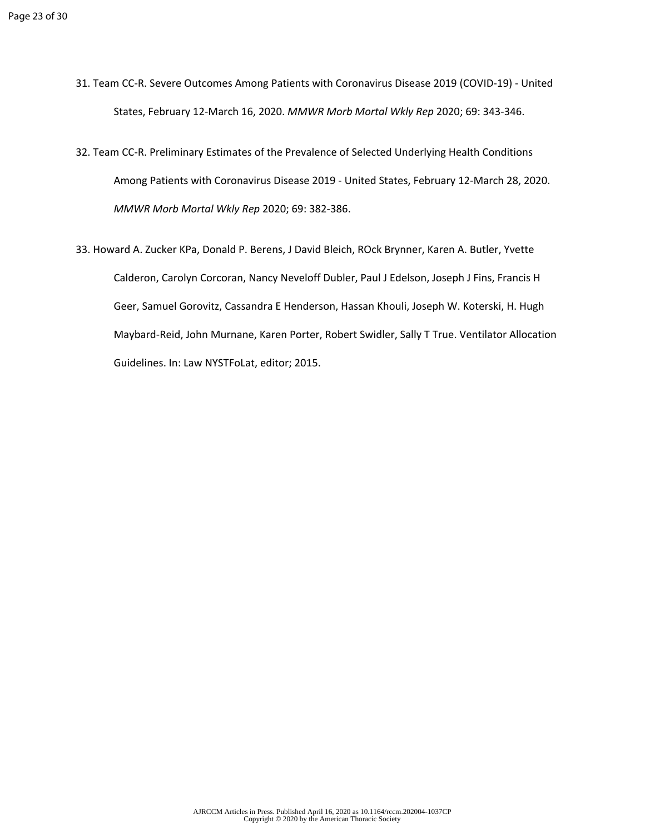- 31. Team CC-R. Severe Outcomes Among Patients with Coronavirus Disease 2019 (COVID-19) United States, February 12-March 16, 2020. *MMWR Morb Mortal Wkly Rep* 2020; 69: 343-346.
- 32. Team CC-R. Preliminary Estimates of the Prevalence of Selected Underlying Health Conditions Among Patients with Coronavirus Disease 2019 - United States, February 12-March 28, 2020. *MMWR Morb Mortal Wkly Rep* 2020; 69: 382-386.
- 33. Howard A. Zucker KPa, Donald P. Berens, J David Bleich, ROck Brynner, Karen A. Butler, Yvette Calderon, Carolyn Corcoran, Nancy Neveloff Dubler, Paul J Edelson, Joseph J Fins, Francis H Geer, Samuel Gorovitz, Cassandra E Henderson, Hassan Khouli, Joseph W. Koterski, H. Hugh Maybard-Reid, John Murnane, Karen Porter, Robert Swidler, Sally T True. Ventilator Allocation Guidelines. In: Law NYSTFoLat, editor; 2015.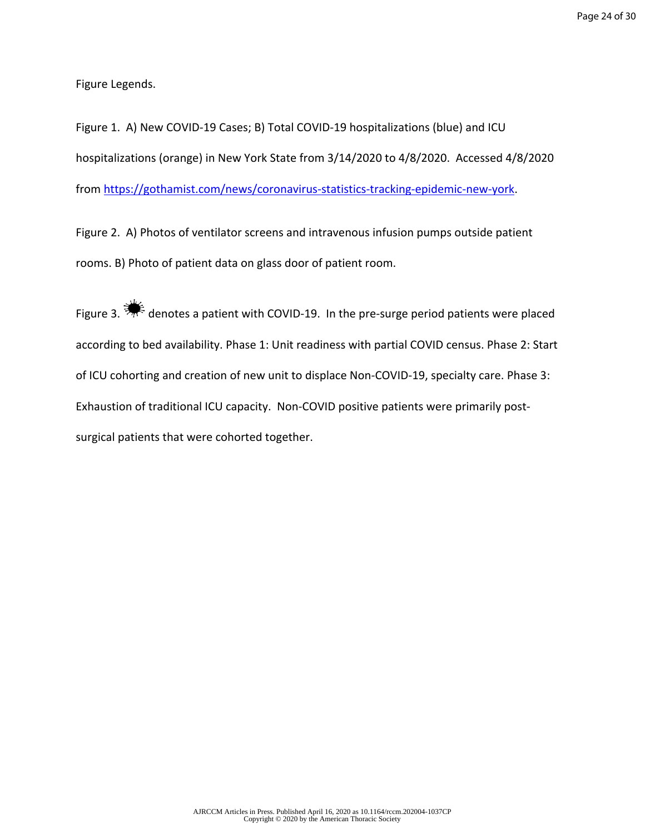Figure Legends.

Figure 1. A) New COVID-19 Cases; B) Total COVID-19 hospitalizations (blue) and ICU hospitalizations (orange) in New York State from 3/14/2020 to 4/8/2020. Accessed 4/8/2020 from [https://gothamist.com/news/coronavirus-statistics-tracking-epidemic-new-york.](https://gothamist.com/news/coronavirus-statistics-tracking-epidemic-new-york)

Figure 2. A) Photos of ventilator screens and intravenous infusion pumps outside patient rooms. B) Photo of patient data on glass door of patient room.

Figure 3.  $\frac{1}{2}$  denotes a patient with COVID-19. In the pre-surge period patients were placed according to bed availability. Phase 1: Unit readiness with partial COVID census. Phase 2: Start of ICU cohorting and creation of new unit to displace Non-COVID-19, specialty care. Phase 3: Exhaustion of traditional ICU capacity. Non-COVID positive patients were primarily postsurgical patients that were cohorted together.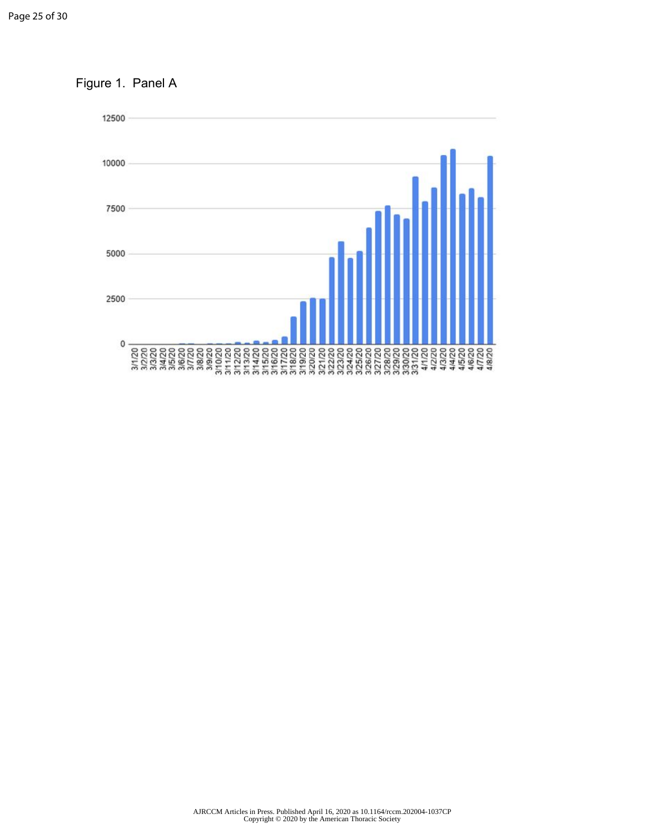Figure 1. Panel A

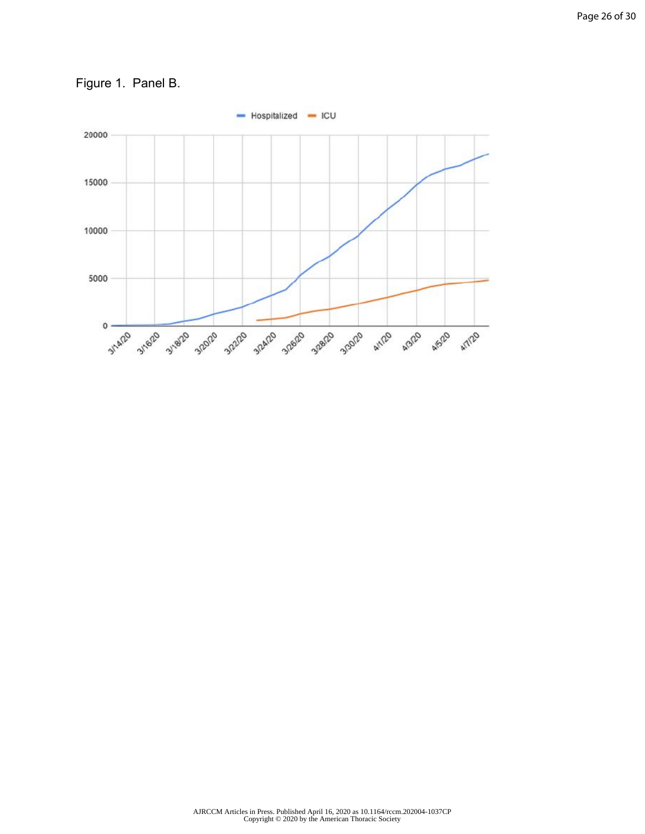

Figure 1. Panel B.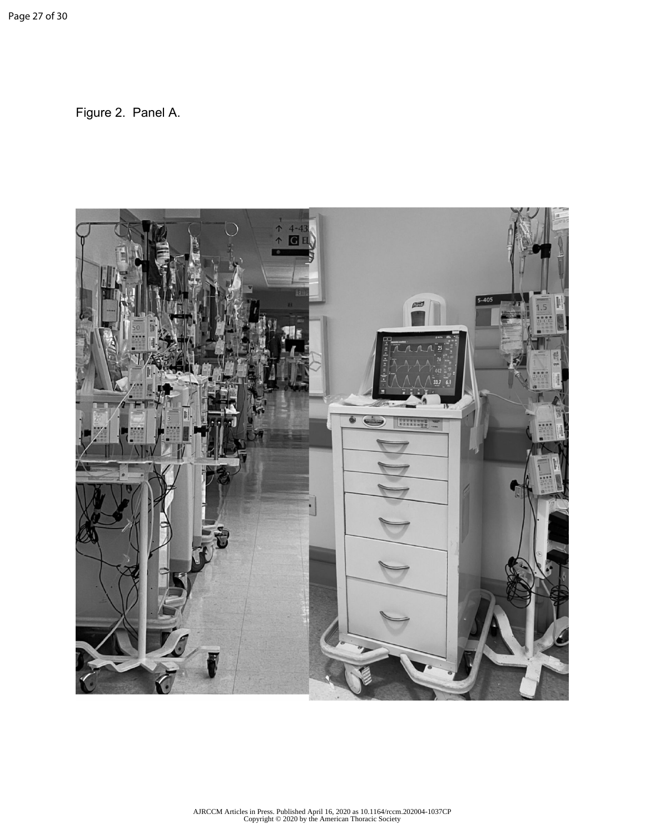Figure 2. Panel A.

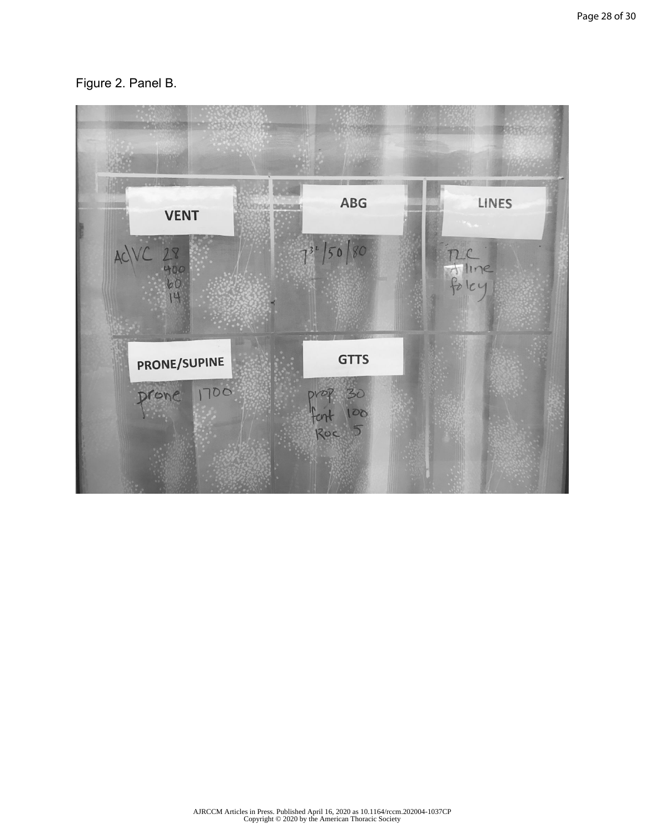# Figure 2. Panel B.

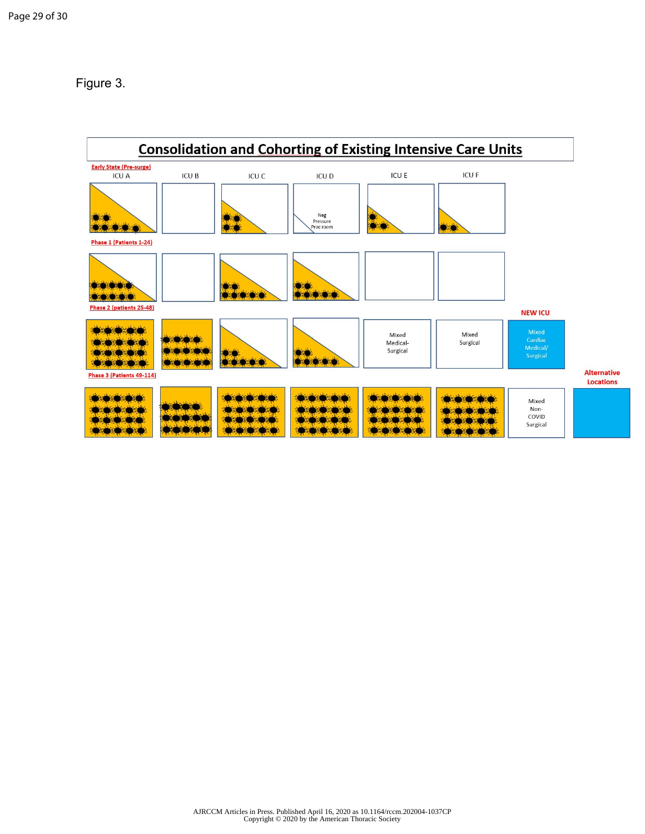Figure 3.